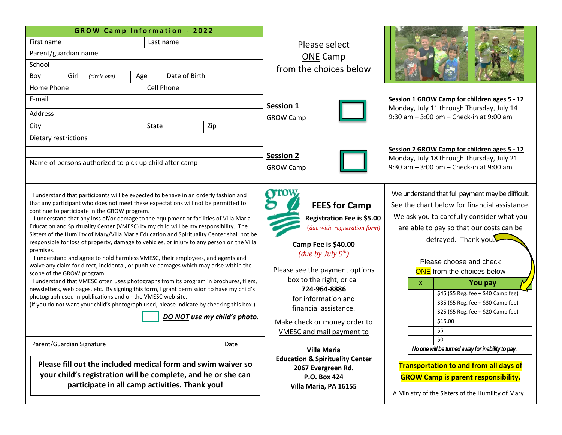| <b>GROW Camp Information - 2022</b>                                                                                                                                                                                                                                                                                                                                                                                                                                                                                                                                                                                                                                                                                                                                                                                                                                                                                                                                                                                                                                                                                                                                                                          |       |               |     |                                                                                                                                                                                                                                                                                                                                  |                                                                                                                                                                                                                                                                                                                                                                                                                                             |                                                           |
|--------------------------------------------------------------------------------------------------------------------------------------------------------------------------------------------------------------------------------------------------------------------------------------------------------------------------------------------------------------------------------------------------------------------------------------------------------------------------------------------------------------------------------------------------------------------------------------------------------------------------------------------------------------------------------------------------------------------------------------------------------------------------------------------------------------------------------------------------------------------------------------------------------------------------------------------------------------------------------------------------------------------------------------------------------------------------------------------------------------------------------------------------------------------------------------------------------------|-------|---------------|-----|----------------------------------------------------------------------------------------------------------------------------------------------------------------------------------------------------------------------------------------------------------------------------------------------------------------------------------|---------------------------------------------------------------------------------------------------------------------------------------------------------------------------------------------------------------------------------------------------------------------------------------------------------------------------------------------------------------------------------------------------------------------------------------------|-----------------------------------------------------------|
| First name<br>Last name                                                                                                                                                                                                                                                                                                                                                                                                                                                                                                                                                                                                                                                                                                                                                                                                                                                                                                                                                                                                                                                                                                                                                                                      |       |               |     | Please select                                                                                                                                                                                                                                                                                                                    |                                                                                                                                                                                                                                                                                                                                                                                                                                             |                                                           |
| Parent/guardian name                                                                                                                                                                                                                                                                                                                                                                                                                                                                                                                                                                                                                                                                                                                                                                                                                                                                                                                                                                                                                                                                                                                                                                                         |       |               |     | <b>ONE</b> Camp                                                                                                                                                                                                                                                                                                                  |                                                                                                                                                                                                                                                                                                                                                                                                                                             |                                                           |
| School                                                                                                                                                                                                                                                                                                                                                                                                                                                                                                                                                                                                                                                                                                                                                                                                                                                                                                                                                                                                                                                                                                                                                                                                       |       |               |     | from the choices below                                                                                                                                                                                                                                                                                                           |                                                                                                                                                                                                                                                                                                                                                                                                                                             |                                                           |
| Girl<br>Boy<br>(circle one)                                                                                                                                                                                                                                                                                                                                                                                                                                                                                                                                                                                                                                                                                                                                                                                                                                                                                                                                                                                                                                                                                                                                                                                  | Age   | Date of Birth |     |                                                                                                                                                                                                                                                                                                                                  |                                                                                                                                                                                                                                                                                                                                                                                                                                             |                                                           |
| Home Phone<br>Cell Phone                                                                                                                                                                                                                                                                                                                                                                                                                                                                                                                                                                                                                                                                                                                                                                                                                                                                                                                                                                                                                                                                                                                                                                                     |       |               |     |                                                                                                                                                                                                                                                                                                                                  | Session 1 GROW Camp for children ages 5 - 12<br>Monday, July 11 through Thursday, July 14<br>9:30 am - 3:00 pm - Check-in at 9:00 am                                                                                                                                                                                                                                                                                                        |                                                           |
| E-mail                                                                                                                                                                                                                                                                                                                                                                                                                                                                                                                                                                                                                                                                                                                                                                                                                                                                                                                                                                                                                                                                                                                                                                                                       |       |               |     | Session 1<br><b>GROW Camp</b>                                                                                                                                                                                                                                                                                                    |                                                                                                                                                                                                                                                                                                                                                                                                                                             |                                                           |
| Address                                                                                                                                                                                                                                                                                                                                                                                                                                                                                                                                                                                                                                                                                                                                                                                                                                                                                                                                                                                                                                                                                                                                                                                                      |       |               |     |                                                                                                                                                                                                                                                                                                                                  |                                                                                                                                                                                                                                                                                                                                                                                                                                             |                                                           |
| City                                                                                                                                                                                                                                                                                                                                                                                                                                                                                                                                                                                                                                                                                                                                                                                                                                                                                                                                                                                                                                                                                                                                                                                                         | State |               | Zip |                                                                                                                                                                                                                                                                                                                                  |                                                                                                                                                                                                                                                                                                                                                                                                                                             |                                                           |
| Dietary restrictions                                                                                                                                                                                                                                                                                                                                                                                                                                                                                                                                                                                                                                                                                                                                                                                                                                                                                                                                                                                                                                                                                                                                                                                         |       |               |     |                                                                                                                                                                                                                                                                                                                                  |                                                                                                                                                                                                                                                                                                                                                                                                                                             |                                                           |
| Name of persons authorized to pick up child after camp                                                                                                                                                                                                                                                                                                                                                                                                                                                                                                                                                                                                                                                                                                                                                                                                                                                                                                                                                                                                                                                                                                                                                       |       |               |     | <b>Session 2</b><br><b>GROW Camp</b>                                                                                                                                                                                                                                                                                             | Session 2 GROW Camp for children ages 5 - 12<br>Monday, July 18 through Thursday, July 21<br>9:30 am - 3:00 pm - Check-in at 9:00 am                                                                                                                                                                                                                                                                                                        |                                                           |
| I understand that participants will be expected to behave in an orderly fashion and<br>that any participant who does not meet these expectations will not be permitted to<br>continue to participate in the GROW program.<br>I understand that any loss of/or damage to the equipment or facilities of Villa Maria<br>Education and Spirituality Center (VMESC) by my child will be my responsibility. The<br>Sisters of the Humility of Mary/Villa Maria Education and Spirituality Center shall not be<br>responsible for loss of property, damage to vehicles, or injury to any person on the Villa<br>premises.<br>I understand and agree to hold harmless VMESC, their employees, and agents and<br>waive any claim for direct, incidental, or punitive damages which may arise within the<br>scope of the GROW program.<br>I understand that VMESC often uses photographs from its program in brochures, fliers,<br>newsletters, web pages, etc. By signing this form, I grant permission to have my child's<br>photograph used in publications and on the VMESC web site.<br>(If you do not want your child's photograph used, please indicate by checking this box.)<br>DO NOT use my child's photo. |       |               |     | <b>FEES for Camp</b><br>Registration Fee is \$5.00<br>(due with registration form)<br>Camp Fee is \$40.00<br>(due by July $9^{th}$ )<br>Please see the payment options<br>box to the right, or call<br>724-964-8886<br>for information and<br>financial assistance.<br>Make check or money order to<br>VMESC and mail payment to | We understand that full payment may be difficult.<br>See the chart below for financial assistance.<br>We ask you to carefully consider what you<br>are able to pay so that our costs can be<br>defrayed. Thank you.<br>Please choose and check<br><b>ONE</b> from the choices below<br>You pay<br>X.<br>\$45 (\$5 Reg. fee + \$40 Camp fee)<br>\$35 (\$5 Reg. fee + \$30 Camp fee)<br>\$25 (\$5 Reg. fee + \$20 Camp fee)<br>\$15.00<br>\$5 |                                                           |
| Parent/Guardian Signature                                                                                                                                                                                                                                                                                                                                                                                                                                                                                                                                                                                                                                                                                                                                                                                                                                                                                                                                                                                                                                                                                                                                                                                    |       | Date          |     | <b>Villa Maria</b>                                                                                                                                                                                                                                                                                                               |                                                                                                                                                                                                                                                                                                                                                                                                                                             | $$0$$<br>No one will be turned away for inability to pay. |
| Please fill out the included medical form and swim waiver so<br>your child's registration will be complete, and he or she can<br>participate in all camp activities. Thank you!                                                                                                                                                                                                                                                                                                                                                                                                                                                                                                                                                                                                                                                                                                                                                                                                                                                                                                                                                                                                                              |       |               |     | <b>Education &amp; Spirituality Center</b><br>2067 Evergreen Rd.<br>P.O. Box 424<br>Villa Maria, PA 16155                                                                                                                                                                                                                        | <b>Transportation to and from all days of</b><br><b>GROW Camp is parent responsibility.</b><br>A Ministry of the Sisters of the Humility of Mary                                                                                                                                                                                                                                                                                            |                                                           |